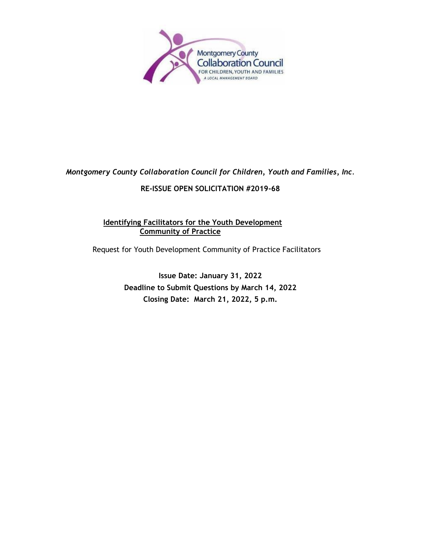

# *Montgomery County Collaboration Council for Children, Youth and Families, Inc*.

## **RE-ISSUE OPEN SOLICITATION #2019-68**

## **Identifying Facilitators for the Youth Development Community of Practice**

Request for Youth Development Community of Practice Facilitators

**Issue Date: January 31, 2022 Deadline to Submit Questions by March 14, 2022 Closing Date: March 21, 2022, 5 p.m.**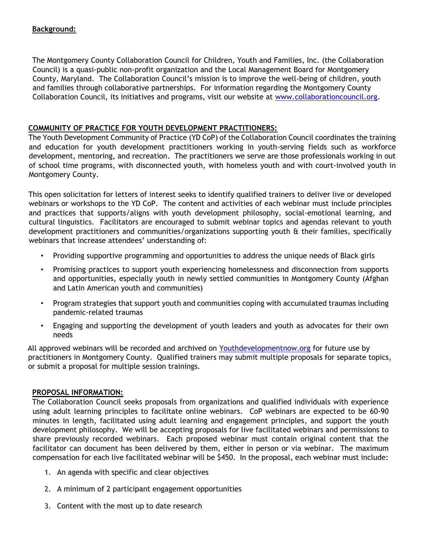#### **Background:**

The Montgomery County Collaboration Council for Children, Youth and Families, Inc. (the Collaboration Council) is a quasi-public non-profit organization and the Local Management Board for Montgomery County, Maryland. The Collaboration Council's mission is to improve the well-being of children, youth and families through collaborative partnerships. For information regarding the Montgomery County Collaboration Council, its initiatives and programs, visit our website at [www.collaborationcouncil.org.](http://www.collaborationcouncil.org/)

### **COMMUNITY OF PRACTICE FOR YOUTH DEVELOPMENT PRACTITIONERS:**

The Youth Development Community of Practice (YD CoP) of the Collaboration Council coordinates the training and education for youth development practitioners working in youth-serving fields such as workforce development, mentoring, and recreation. The practitioners we serve are those professionals working in out of school time programs, with disconnected youth, with homeless youth and with court-involved youth in Montgomery County.

This open solicitation for letters of interest seeks to identify qualified trainers to deliver live or developed webinars or workshops to the YD CoP. The content and activities of each webinar must include principles and practices that supports/aligns with youth development philosophy, social-emotional learning, and cultural linguistics. Facilitators are encouraged to submit webinar topics and agendas relevant to youth development practitioners and communities/organizations supporting youth & their families, specifically webinars that increase attendees' understanding of:

- Providing supportive programming and opportunities to address the unique needs of Black girls
- Promising practices to support youth experiencing homelessness and disconnection from supports and opportunities, especially youth in newly settled communities in Montgomery County (Afghan and Latin American youth and communities)
- Program strategies that support youth and communities coping with accumulated traumas including pandemic-related traumas
- Engaging and supporting the development of youth leaders and youth as advocates for their own needs

All approved webinars will be recorded and archived on Youthdevelopmentnow.org for future use by practitioners in Montgomery County. Qualified trainers may submit multiple proposals for separate topics, or submit a proposal for multiple session trainings.

#### **PROPOSAL INFORMATION:**

The Collaboration Council seeks proposals from organizations and qualified individuals with experience using adult learning principles to facilitate online webinars. CoP webinars are expected to be 60-90 minutes in length, facilitated using adult learning and engagement principles, and support the youth development philosophy. We will be accepting proposals for live facilitated webinars and permissions to share previously recorded webinars. Each proposed webinar must contain original content that the facilitator can document has been delivered by them, either in person or via webinar. The maximum compensation for each live facilitated webinar will be \$450. In the proposal, each webinar must include:

- 1. An agenda with specific and clear objectives
- 2. A minimum of 2 participant engagement opportunities
- 3. Content with the most up to date research